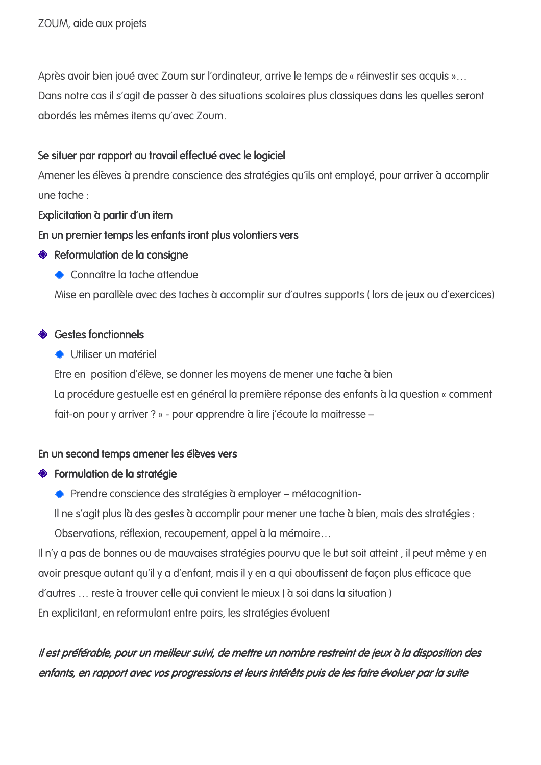Après avoir bien joué avec Zoum sur l'ordinateur, arrive le temps de « réinvestir ses acquis »... Dans notre cas il s'agit de passer à des situations scolaires plus classiques dans les quelles seront abordés les mêmes items au'avec Zoum.

## Se situer par rapport au travail effectué avec le logiciel

Amener les élèves à prendre conscience des stratégies qu'ils ont employé, pour arriver à accomplir une tache :

## Explicitation à partir d'un item

## En un premier temps les enfants iront plus volontiers vers

- ♦ Reformulation de la consiane
	- Connaître la tache attendue

Mise en parallèle avec des taches à accomplir sur d'autres supports (lors de jeux ou d'exercices)

# ◈ Gestes fonctionnels

Utiliser un matériel

Etre en position d'élève, se donner les moyens de mener une tache à bien La procédure gestuelle est en général la première réponse des enfants à la question « comment fait-on pour y arriver ? » - pour apprendre à lire j'écoute la maitresse -

# En un second temps amener les élèves vers

# ◆ Formulation de la stratégie

← Prendre conscience des stratégies à employer – métacognition-

Il ne s'agit plus là des gestes à accomplir pour mener une tache à bien, mais des stratégies :

Observations, réflexion, recoupement, appel à la mémoire...

Il n'y a pas de bonnes ou de mauvaises stratégies pourvu que le but soit atteint, il peut même y en avoir presque autant qu'il y a d'enfant, mais il y en a qui aboutissent de façon plus efficace que d'autres ... reste à trouver celle qui convient le mieux ( à soi dans la situation ) En explicitant, en reformulant entre pairs, les stratégies évoluent

# Il est préférable, pour un meilleur suivi, de mettre un nombre restreint de jeux à la disposition des enfants, en rapport avec vos progressions et leurs intérêts puis de les faire évoluer par la suite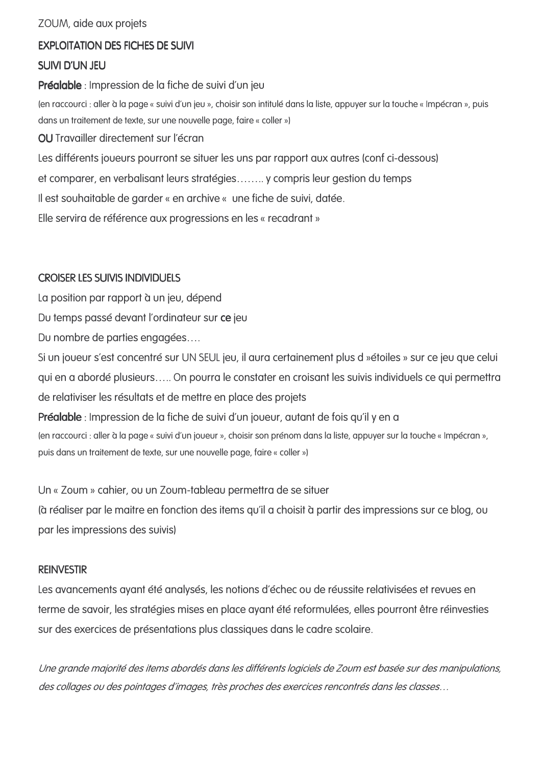ZOUM, aide aux projets

## **EXPLOITATION DES FICHES DE SUIVI**

### **SUIVI D'UN JEU**

Préalable : Impression de la fiche de suivi d'un jeu

(en raccourci : aller à la page « suivi d'un jeu », choisir son intitulé dans la liste, appuyer sur la touche « Impécran », puis dans un traitement de texte, sur une nouvelle page, faire « coller »)

OU Travailler directement sur l'écran

Les différents joueurs pourront se situer les uns par rapport aux autres (conf ci-dessous)

et comparer, en verbalisant leurs stratégies........ y compris leur gestion du temps

Il est souhaitable de garder « en archive « une fiche de suivi, datée.

Elle servira de référence aux progressions en les « recadrant »

### **CROISER LES SUIVIS INDIVIDUELS**

La position par rapport à un jeu, dépend

Du temps passé devant l'ordinateur sur ce jeu

Du nombre de parties engagées....

Si un joueur s'est concentré sur UN SEUL jeu, il aura certainement plus d »étoiles » sur ce jeu que celui qui en a abordé plusieurs..... On pourra le constater en croisant les suivis individuels ce qui permettra de relativiser les résultats et de mettre en place des projets

Préalable : Impression de la fiche de suivi d'un joueur, autant de fois qu'il y en a (en raccourci : aller à la page « suivi d'un joueur », choisir son prénom dans la liste, appuyer sur la touche « Impécran », puis dans un traitement de texte, sur une nouvelle page, faire « coller »)

Un « Zoum » cahier, ou un Zoum-tableau permettra de se situer

(à réaliser par le maitre en fonction des items qu'il a choisit à partir des impressions sur ce blog, ou par les impressions des suivis)

#### **REINVESTIR**

Les avancements ayant été analysés, les notions d'échec ou de réussite relativisées et revues en terme de savoir, les stratégies mises en place ayant été reformulées, elles pourront être réinvesties sur des exercices de présentations plus classiques dans le cadre scolaire.

Une grande majorité des items abordés dans les différents logiciels de Zoum est basée sur des manipulations, des collages ou des pointages d'images, très proches des exercices rencontrés dans les classes...